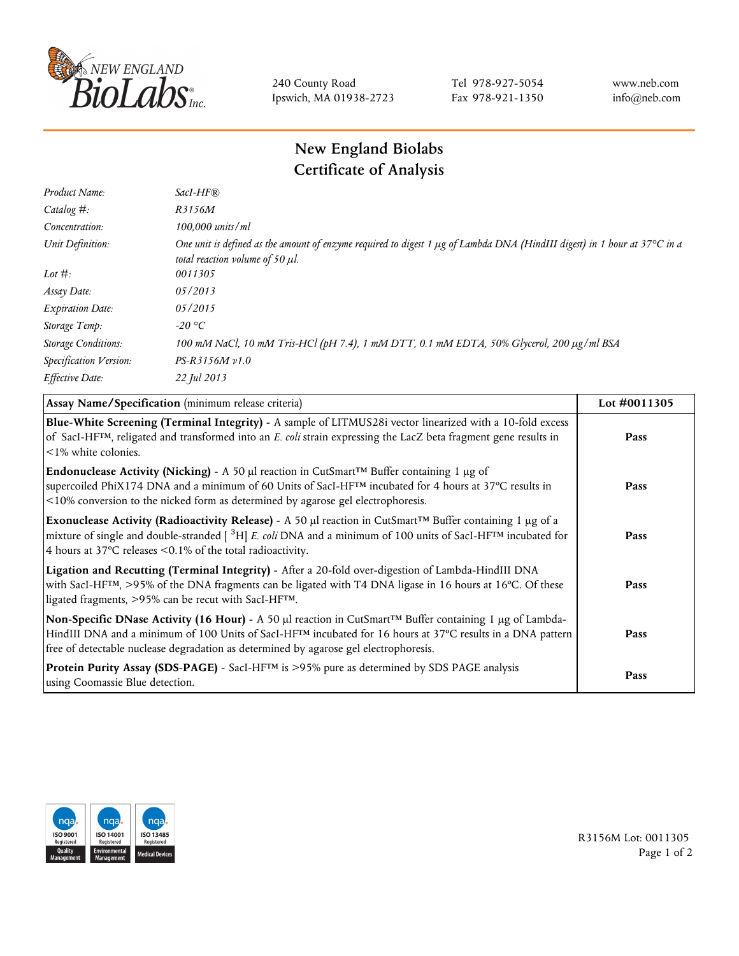

240 County Road Ipswich, MA 01938-2723 Tel 978-927-5054 Fax 978-921-1350 www.neb.com info@neb.com

## **New England Biolabs Certificate of Analysis**

| Product Name:              | $SacI-HF$ $R$                                                                                                                                                          |
|----------------------------|------------------------------------------------------------------------------------------------------------------------------------------------------------------------|
| Catalog #:                 | R3156M                                                                                                                                                                 |
| Concentration:             | $100,000$ units/ml                                                                                                                                                     |
| Unit Definition:           | One unit is defined as the amount of enzyme required to digest 1 $\mu$ g of Lambda DNA (HindIII digest) in 1 hour at 37°C in a<br>total reaction volume of 50 $\mu$ l. |
| Lot $\#$ :                 | 0011305                                                                                                                                                                |
| Assay Date:                | 05/2013                                                                                                                                                                |
| <b>Expiration Date:</b>    | 05/2015                                                                                                                                                                |
| Storage Temp:              | -20 °C                                                                                                                                                                 |
| <b>Storage Conditions:</b> | 100 mM NaCl, 10 mM Tris-HCl (pH 7.4), 1 mM DTT, 0.1 mM EDTA, 50% Glycerol, 200 μg/ml BSA                                                                               |
| Specification Version:     | $PS-R3156M v1.0$                                                                                                                                                       |
| Effective Date:            | 22 Jul 2013                                                                                                                                                            |

| Assay Name/Specification (minimum release criteria)                                                                                                                                                                                                                                                                              | Lot #0011305 |
|----------------------------------------------------------------------------------------------------------------------------------------------------------------------------------------------------------------------------------------------------------------------------------------------------------------------------------|--------------|
| Blue-White Screening (Terminal Integrity) - A sample of LITMUS28i vector linearized with a 10-fold excess<br>of SacI-HF <sup>TM</sup> , religated and transformed into an E. coli strain expressing the LacZ beta fragment gene results in<br>$\leq$ 1% white colonies.                                                          | Pass         |
| Endonuclease Activity (Nicking) - A 50 µl reaction in CutSmart <sup>™</sup> Buffer containing 1 µg of<br>supercoiled PhiX174 DNA and a minimum of 60 Units of SacI-HFTM incubated for 4 hours at 37°C results in<br><10% conversion to the nicked form as determined by agarose gel electrophoresis.                             | Pass         |
| Exonuclease Activity (Radioactivity Release) - A 50 $\mu$ l reaction in CutSmart <sup>TM</sup> Buffer containing 1 $\mu$ g of a<br>mixture of single and double-stranded $[{}^{3}H]$ E. coli DNA and a minimum of 100 units of SacI-HF <sup>TM</sup> incubated for<br>4 hours at 37°C releases <0.1% of the total radioactivity. | Pass         |
| Ligation and Recutting (Terminal Integrity) - After a 20-fold over-digestion of Lambda-HindIII DNA<br>with SacI-HF <sup>TM</sup> , >95% of the DNA fragments can be ligated with T4 DNA ligase in 16 hours at 16°C. Of these<br>ligated fragments, >95% can be recut with SacI-HFTM.                                             | Pass         |
| Non-Specific DNase Activity (16 Hour) - A 50 µl reaction in CutSmart™ Buffer containing 1 µg of Lambda-<br>HindIII DNA and a minimum of 100 Units of SacI-HF <sup>TM</sup> incubated for 16 hours at 37°C results in a DNA pattern<br>free of detectable nuclease degradation as determined by agarose gel electrophoresis.      | Pass         |
| Protein Purity Assay (SDS-PAGE) - SacI-HF <sup>TM</sup> is >95% pure as determined by SDS PAGE analysis<br>using Coomassie Blue detection.                                                                                                                                                                                       | Pass         |



R3156M Lot: 0011305 Page 1 of 2